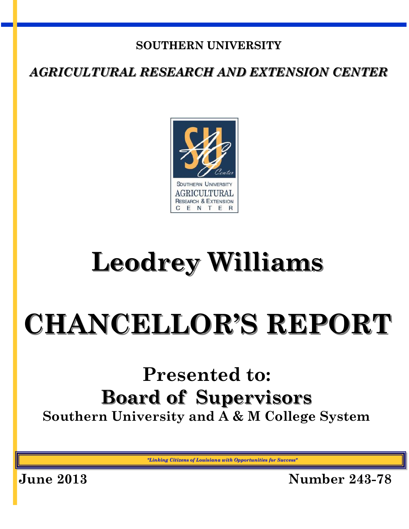## **SOUTHERN UNIVERSITY**

*AGRICULTURAL RESEARCH AND EXTENSION CENTER*



## **Leodrey Williams**

# **CHANCELLOR'S REPORT**

## **Presented to: Board of Supervisors Southern University and A & M College System**

*"Linking Citizens of Louisiana with Opportunities for Success"*

**June 2013 Number 243-78**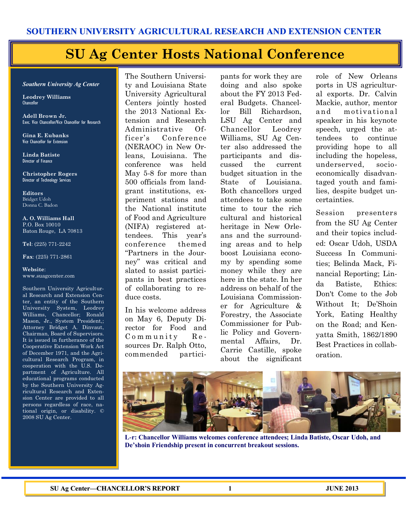## **SU Ag Center Hosts National Conference**

#### *Southern University Ag Center*

**Leodrey Williams**  Chancellor

**Adell Brown Jr.**  Exec. Vice Chancellor/Vice Chancellor for Research

**Gina E. Eubanks** Vice Chancellor for Extension

**Linda Batiste** Director of Finance

**Christopher Rogers** Director of Technology Services

**Editors** Bridget Udoh Donna C. Badon

**A. O. Williams Hall** P.O. Box 10010 Baton Rouge, LA 70813

**Tel**: (225) 771-2242

**Fax**: (225) 771-2861

**Website**: www.suagcenter.com

Southern University Agricultural Research and Extension Center, an entity of the Southern University System, Leodrey Williams, Chancellor; Ronald Mason, Jr., System President,; Attorney Bridget A. Dinvaut, Chairman, Board of Supervisors. It is issued in furtherance of the Cooperative Extension Work Act of December 1971, and the Agricultural Research Program, in cooperation with the U.S. Department of Agriculture. All educational programs conducted by the Southern University Agricultural Research and Extension Center are provided to all persons regardless of race, national origin, or disability. © 2008 SU Ag Center.

The Southern University and Louisiana State University Agricultural Centers jointly hosted the 2013 National Extension and Research Administrative Officer's Conference (NERAOC) in New Orleans, Louisiana. The conference was held May 5-8 for more than 500 officials from landgrant institutions, experiment stations and the National institute of Food and Agriculture (NIFA) registered attendees. This year's conference themed "Partners in the Journey" was critical and slated to assist participants in best practices of collaborating to reduce costs.

In his welcome address on May 6, Deputy Director for Food and  $Common$  m munity  $Re$ sources Dr. Ralph Otto, commended partici-

pants for work they are doing and also spoke about the FY 2013 Federal Budgets. Chancellor Bill Richardson, LSU Ag Center and Chancellor Leodrey Williams, SU Ag Center also addressed the participants and discussed the current budget situation in the State of Louisiana. Both chancellors urged attendees to take some time to tour the rich cultural and historical heritage in New Orleans and the surrounding areas and to help boost Louisiana economy by spending some money while they are here in the state. In her address on behalf of the Louisiana Commissioner for Agriculture & Forestry, the Associate Commissioner for Public Policy and Governmental Affairs, Dr. Carrie Castille, spoke about the significant

role of New Orleans ports in US agricultural exports. Dr. Calvin Mackie, author, mentor a nd motiva tiona l speaker in his keynote speech, urged the attendees to continue providing hope to all including the hopeless, underserved, socioeconomically disadvantaged youth and families, despite budget uncertainties.

Session presenters from the SU Ag Center and their topics included: Oscar Udoh, USDA Success In Communities; Belinda Mack, Financial Reporting; Linda Batiste, Ethics: Don't Come to the Job Without It; De'Shoin York, Eating Healthy on the Road; and Kenyatta Smith, 1862/1890 Best Practices in collaboration.



**L-r: Chancellor Williams welcomes conference attendees; Linda Batiste, Oscar Udoh, and De'shoin Friendship present in concurrent breakout sessions.**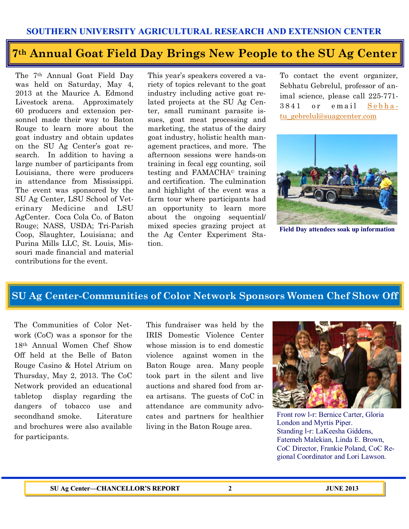#### **SOUTHERN UNIVERSITY AGRICULTURAL RESEARCH AND EXTENSION CENTER**

## **7th Annual Goat Field Day Brings New People to the SU Ag Center**

The 7th Annual Goat Field Day was held on Saturday, May 4, 2013 at the Maurice A. Edmond Livestock arena. Approximately 60 producers and extension personnel made their way to Baton Rouge to learn more about the goat industry and obtain updates on the SU Ag Center's goat research. In addition to having a large number of participants from Louisiana, there were producers in attendance from Mississippi. The event was sponsored by the SU Ag Center, LSU School of Veterinary Medicine and LSU AgCenter. Coca Cola Co. of Baton Rouge; NASS, USDA; Tri-Parish Coop, Slaughter, Louisiana; and Purina Mills LLC, St. Louis, Missouri made financial and material contributions for the event.

This year's speakers covered a variety of topics relevant to the goat industry including active goat related projects at the SU Ag Center, small ruminant parasite issues, goat meat processing and marketing, the status of the dairy goat industry, holistic health management practices, and more. The afternoon sessions were hands-on training in fecal egg counting, soil testing and FAMACHA© training and certification. The culmination and highlight of the event was a farm tour where participants had an opportunity to learn more about the ongoing sequential/ mixed species grazing project at the Ag Center Experiment Station.

To contact the event organizer, Sebhatu Gebrelul, professor of animal science, please call 225-771-  $3841$  or email Sebha[tu\\_gebrelul@suagcenter.com](mailto:Sebhatu_gebrelul@suagcenter.com)



**Field Day attendees soak up information**

### **SU Ag Center-Communities of Color Network Sponsors Women Chef Show Off**

The Communities of Color Network (CoC) was a sponsor for the 18th Annual Women Chef Show Off held at the Belle of Baton Rouge Casino & Hotel Atrium on Thursday, May 2, 2013. The CoC Network provided an educational tabletop display regarding the dangers of tobacco use and secondhand smoke. Literature and brochures were also available for participants.

This fundraiser was held by the IRIS Domestic Violence Center whose mission is to end domestic violence against women in the Baton Rouge area. Many people took part in the silent and live auctions and shared food from area artisans. The guests of CoC in attendance are community advocates and partners for healthier living in the Baton Rouge area.



Front row l-r: Bernice Carter, Gloria London and Myrtis Piper. Standing l-r: LaKeesha Giddens, Fatemeh Malekian, Linda E. Brown, CoC Director, Frankie Poland, CoC Regional Coordinator and Lori Lawson.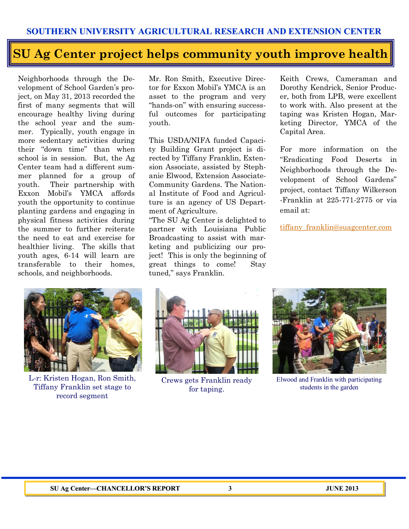## **SU Ag Center project helps community youth improve health**

Neighborhoods through the Development of School Garden's project, on May 31, 2013 recorded the first of many segments that will encourage healthy living during the school year and the summer. Typically, youth engage in more sedentary activities during their "down time" than when school is in session. But, the Ag Center team had a different summer planned for a group of youth. Their partnership with Exxon Mobil's YMCA affords youth the opportunity to continue planting gardens and engaging in physical fitness activities during the summer to further reiterate the need to eat and exercise for healthier living. The skills that youth ages, 6-14 will learn are transferable to their homes, schools, and neighborhoods.

Mr. Ron Smith, Executive Director for Exxon Mobil's YMCA is an asset to the program and very "hands-on" with ensuring successful outcomes for participating youth.

This USDA/NIFA funded Capacity Building Grant project is directed by Tiffany Franklin, Extension Associate, assisted by Stephanie Elwood, Extension Associate-Community Gardens. The National Institute of Food and Agriculture is an agency of US Department of Agriculture.

"The SU Ag Center is delighted to partner with Louisiana Public Broadcasting to assist with marketing and publicizing our project! This is only the beginning of great things to come! Stay tuned," says Franklin.

Keith Crews, Cameraman and Dorothy Kendrick, Senior Producer, both from LPB, were excellent to work with. Also present at the taping was Kristen Hogan, Marketing Director, YMCA of the Capital Area.

For more information on the "Eradicating Food Deserts in Neighborhoods through the Development of School Gardens" project, contact Tiffany Wilkerson -Franklin at 225-771-2775 or via email at:

[tiffany\\_franklin@suagcenter.com](mailto:tiffany_franklin@suagcenter.com)



L-r: Kristen Hogan, Ron Smith, Tiffany Franklin set stage to record segment



Crews gets Franklin ready for taping.



Elwood and Franklin with participating students in the garden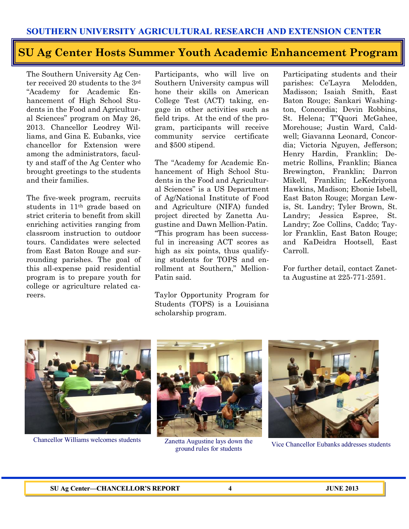## **SU Ag Center Hosts Summer Youth Academic Enhancement Program**

The Southern University Ag Center received 20 students to the 3rd "Academy for Academic Enhancement of High School Students in the Food and Agricultural Sciences" program on May 26, 2013. Chancellor Leodrey Williams, and Gina E. Eubanks, vice chancellor for Extension were among the administrators, faculty and staff of the Ag Center who brought greetings to the students and their families.

The five-week program, recruits students in 11th grade based on strict criteria to benefit from skill enriching activities ranging from classroom instruction to outdoor tours. Candidates were selected from East Baton Rouge and surrounding parishes. The goal of this all-expense paid residential program is to prepare youth for college or agriculture related careers.

Participants, who will live on Southern University campus will hone their skills on American College Test (ACT) taking, engage in other activities such as field trips. At the end of the program, participants will receive community service certificate and \$500 stipend.

The "Academy for Academic Enhancement of High School Students in the Food and Agricultural Sciences" is a US Department of Ag/National Institute of Food and Agriculture (NIFA) funded project directed by Zanetta Augustine and Dawn Mellion-Patin. "This program has been successful in increasing ACT scores as high as six points, thus qualifying students for TOPS and enrollment at Southern," Mellion-Patin said.

Taylor Opportunity Program for Students (TOPS) is a Louisiana scholarship program.

Participating students and their parishes: Ce'Layra Melodden, Madisson; Isaiah Smith, East Baton Rouge; Sankari Washington, Concordia; Devin Robbins, St. Helena; T"Quori McGahee, Morehouse; Justin Ward, Caldwell; Giavanna Leonard, Concordia; Victoria Nguyen, Jefferson; Henry Hardin, Franklin; Demetric Rollins, Franklin; Bianca Brewington, Franklin; Darron Mikell, Franklin; LeKedriyona Hawkins, Madison; Ebonie Isbell, East Baton Rouge; Morgan Lewis, St. Landry; Tyler Brown, St. Landry; Jessica Espree, St. Landry; Zoe Collins, Caddo; Taylor Franklin, East Baton Rouge; and KaDeidra Hootsell, East Carroll.

For further detail, contact Zanetta Augustine at 225-771-2591.





Chancellor Williams welcomes students Zanetta Augustine lays down the ground rules for students



Vice Chancellor Eubanks addresses students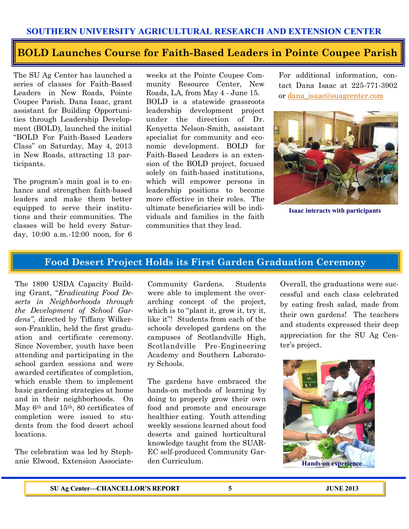#### **SOUTHERN UNIVERSITY AGRICULTURAL RESEARCH AND EXTENSION CENTER**

#### **BOLD Launches Course for Faith-Based Leaders in Pointe Coupee Parish**

The SU Ag Center has launched a series of classes for Faith-Based Leaders in New Roads, Pointe Coupee Parish. Dana Isaac, grant assistant for Building Opportunities through Leadership Development (BOLD), launched the initial "BOLD For Faith-Based Leaders Class" on Saturday, May 4, 2013 in New Roads, attracting 13 participants.

The program's main goal is to enhance and strengthen faith-based leaders and make them better equipped to serve their institutions and their communities. The classes will be held every Saturday, 10:00 a.m.-12:00 noon, for 6 weeks at the Pointe Coupee Community Resource Center, New Roads, LA, from May 4 - June 15. BOLD is a statewide grassroots leadership development project under the direction of Dr. Kenyetta Nelson-Smith, assistant specialist for community and economic development. BOLD for Faith-Based Leaders is an extension of the BOLD project, focused solely on faith-based institutions, which will empower persons in leadership positions to become more effective in their roles. The ultimate beneficiaries will be individuals and families in the faith communities that they lead.

For additional information, contact Dana Isaac at 225-771-3902 or [dana\\_isaac@suagcenter.com](mailto:dana_isaac@suagcenter.com)



**Isaac interacts with participants**

#### **Food Desert Project Holds its First Garden Graduation Ceremony**

The 1890 USDA Capacity Building Grant, "*Eradicating Food Deserts in Neighborhoods through the Development of School Gardens"*, directed by Tiffany Wilkerson-Franklin, held the first graduation and certificate ceremony. Since November, youth have been attending and participating in the school garden sessions and were awarded certificates of completion, which enable them to implement basic gardening strategies at home and in their neighborhoods. On May 6th and 15th, 80 certificates of completion were issued to students from the food desert school locations.

The celebration was led by Stephanie Elwood, Extension AssociateCommunity Gardens. Students were able to implement the overarching concept of the project, which is to "plant it, grow it, try it, like it"! Students from each of the schools developed gardens on the campuses of Scotlandville High, Scotlandville Pre-Engineering Academy and Southern Laboratory Schools.

The gardens have embraced the hands-on methods of learning by doing to properly grow their own food and promote and encourage healthier eating. Youth attending weekly sessions learned about food deserts and gained horticultural knowledge taught from the SUAR-EC self-produced Community Garden Curriculum.

Overall, the graduations were successful and each class celebrated by eating fresh salad, made from their own gardens! The teachers and students expressed their deep appreciation for the SU Ag Center's project.

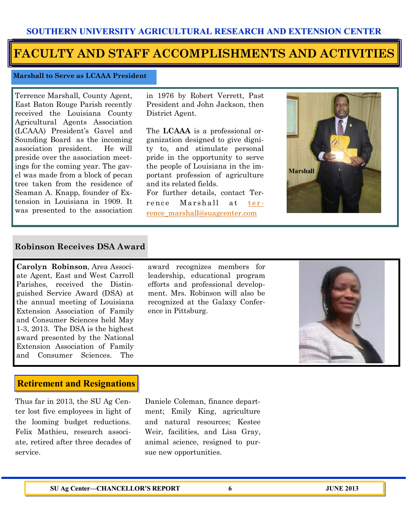### **FACULTY AND STAFF ACCOMPLISHMENTS AND ACTIVITIES**

#### **Marshall to Serve as LCAAA President**

Terrence Marshall, County Agent, East Baton Rouge Parish recently received the Louisiana County Agricultural Agents Association (LCAAA) President's Gavel and Sounding Board as the incoming association president. He will preside over the association meetings for the coming year. The gavel was made from a block of pecan tree taken from the residence of Seaman A. Knapp, founder of Extension in Louisiana in 1909. It was presented to the association in 1976 by Robert Verrett, Past President and John Jackson, then District Agent.

The **LCAAA** is a professional organization designed to give dignity to, and stimulate personal pride in the opportunity to serve the people of Louisiana in the important profession of agriculture and its related fields.

For further details, contact Terrence Marshall at ter[rence\\_marshall@suagcenter.com](mailto:terrence_marshall@suagcenter.com)



#### **Robinson Receives DSA Award**

**Carolyn Robinson**, Area Associate Agent, East and West Carroll Parishes, received the Distinguished Service Award (DSA) at the annual meeting of Louisiana Extension Association of Family and Consumer Sciences held May 1-3, 2013. The DSA is the highest award presented by the National Extension Association of Family and Consumer Sciences. The

#### award recognizes members for leadership, educational program efforts and professional development. Mrs. Robinson will also be recognized at the Galaxy Conference in Pittsburg.



#### **Retirement and Resignations**

Thus far in 2013, the SU Ag Center lost five employees in light of the looming budget reductions. Felix Mathieu, research associate, retired after three decades of service.

Daniele Coleman, finance department; Emily King, agriculture and natural resources; Kestee Weir, facilities, and Lisa Gray, animal science, resigned to pursue new opportunities.